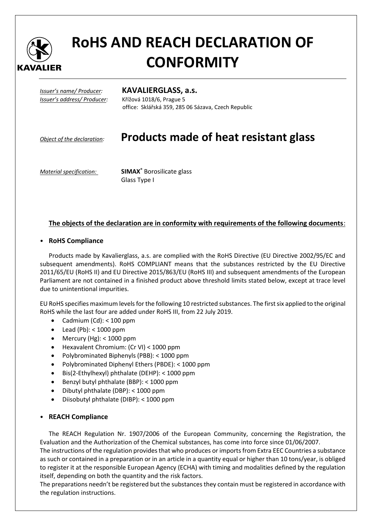

# **RoHS AND REACH DECLARATION OF CONFORMITY**

*Issuer's address/ Producer:*Křížová 1018/6, Prague 5

#### *Issuer's name/ Producer:* **KAVALIERGLASS, a.s.**

office: Sklářská 359, 285 06 Sázava, Czech Republic

## *Object of the declaration:* **Products made of heat resistant glass**

*Material specification:* **SIMAX®** Borosilicate glass Glass Type I

### **The objects of the declaration are in conformity with requirements of the following documents**:

#### • **RoHS Compliance**

Products made by Kavalierglass, a.s. are complied with the RoHS Directive (EU Directive 2002/95/EC and subsequent amendments). RoHS COMPLIANT means that the substances restricted by the EU Directive 2011/65/EU (RoHS II) and EU Directive 2015/863/EU (RoHS III) and subsequent amendments of the European Parliament are not contained in a finished product above threshold limits stated below, except at trace level due to unintentional impurities.

EU RoHS specifies maximum levels for the following 10 restricted substances. The first six applied to the original RoHS while the last four are added under RoHS III, from 22 July 2019.

- Cadmium  $(Cd): < 100$  ppm
- Lead (Pb): < 1000 ppm
- Mercury (Hg): < 1000 ppm
- Hexavalent Chromium: (Cr VI) < 1000 ppm
- Polybrominated Biphenyls (PBB): < 1000 ppm
- Polybrominated Diphenyl Ethers (PBDE): < 1000 ppm
- Bis(2-Ethylhexyl) phthalate (DEHP): < 1000 ppm
- Benzyl butyl phthalate (BBP): < 1000 ppm
- Dibutyl phthalate (DBP): < 1000 ppm
- Diisobutyl phthalate (DIBP): < 1000 ppm

#### • **REACH Compliance**

The REACH Regulation Nr. 1907/2006 of the European Community, concerning the Registration, the Evaluation and the Authorization of the Chemical substances, has come into force since 01/06/2007.

The instructions of the regulation provides that who produces or imports from Extra EEC Countries a substance as such or contained in a preparation or in an article in a quantity equal or higher than 10 tons/year, is obliged to register it at the responsible European Agency (ECHA) with timing and modalities defined by the regulation itself, depending on both the quantity and the risk factors.

The preparations needn't be registered but the substances they contain must be registered in accordance with the regulation instructions.